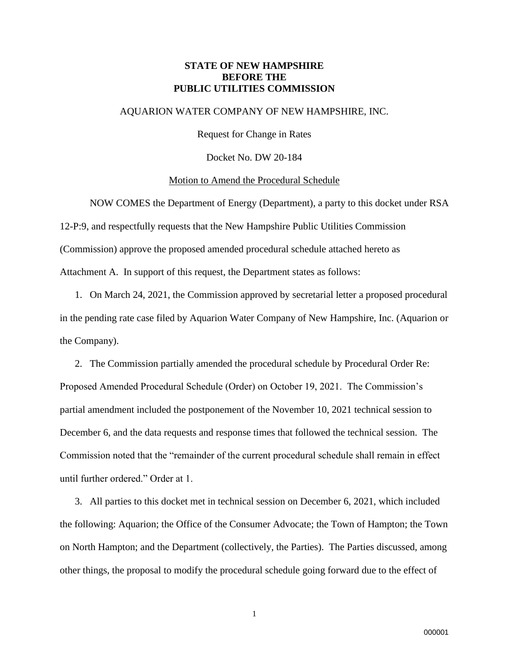## **STATE OF NEW HAMPSHIRE BEFORE THE PUBLIC UTILITIES COMMISSION**

#### AQUARION WATER COMPANY OF NEW HAMPSHIRE, INC.

Request for Change in Rates

Docket No. DW 20-184

#### Motion to Amend the Procedural Schedule

NOW COMES the Department of Energy (Department), a party to this docket under RSA 12-P:9, and respectfully requests that the New Hampshire Public Utilities Commission (Commission) approve the proposed amended procedural schedule attached hereto as Attachment A. In support of this request, the Department states as follows:

1. On March 24, 2021, the Commission approved by secretarial letter a proposed procedural in the pending rate case filed by Aquarion Water Company of New Hampshire, Inc. (Aquarion or the Company).

2. The Commission partially amended the procedural schedule by Procedural Order Re: Proposed Amended Procedural Schedule (Order) on October 19, 2021. The Commission's partial amendment included the postponement of the November 10, 2021 technical session to December 6, and the data requests and response times that followed the technical session. The Commission noted that the "remainder of the current procedural schedule shall remain in effect until further ordered." Order at 1.

3. All parties to this docket met in technical session on December 6, 2021, which included the following: Aquarion; the Office of the Consumer Advocate; the Town of Hampton; the Town on North Hampton; and the Department (collectively, the Parties). The Parties discussed, among other things, the proposal to modify the procedural schedule going forward due to the effect of

1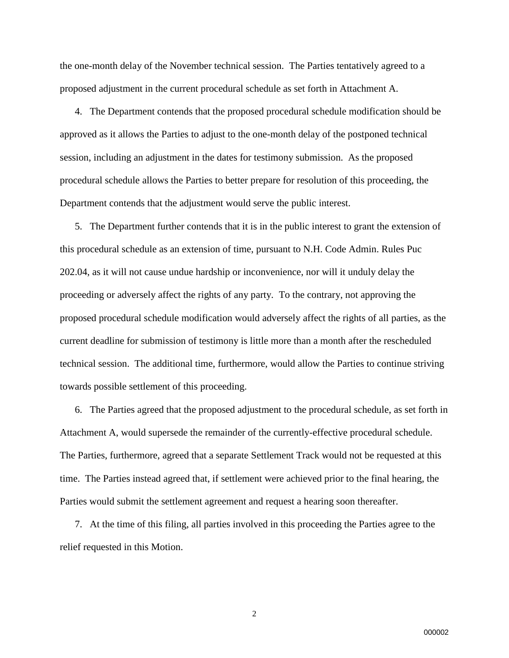the one-month delay of the November technical session. The Parties tentatively agreed to a proposed adjustment in the current procedural schedule as set forth in Attachment A.

4. The Department contends that the proposed procedural schedule modification should be approved as it allows the Parties to adjust to the one-month delay of the postponed technical session, including an adjustment in the dates for testimony submission. As the proposed procedural schedule allows the Parties to better prepare for resolution of this proceeding, the Department contends that the adjustment would serve the public interest.

5. The Department further contends that it is in the public interest to grant the extension of this procedural schedule as an extension of time, pursuant to N.H. Code Admin. Rules Puc 202.04, as it will not cause undue hardship or inconvenience, nor will it unduly delay the proceeding or adversely affect the rights of any party. To the contrary, not approving the proposed procedural schedule modification would adversely affect the rights of all parties, as the current deadline for submission of testimony is little more than a month after the rescheduled technical session. The additional time, furthermore, would allow the Parties to continue striving towards possible settlement of this proceeding.

6. The Parties agreed that the proposed adjustment to the procedural schedule, as set forth in Attachment A, would supersede the remainder of the currently-effective procedural schedule. The Parties, furthermore, agreed that a separate Settlement Track would not be requested at this time. The Parties instead agreed that, if settlement were achieved prior to the final hearing, the Parties would submit the settlement agreement and request a hearing soon thereafter.

7. At the time of this filing, all parties involved in this proceeding the Parties agree to the relief requested in this Motion.

2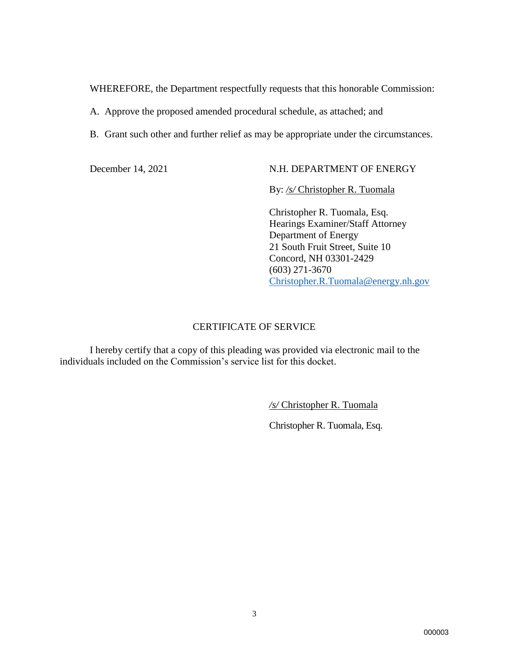WHEREFORE, the Department respectfully requests that this honorable Commission:

A. Approve the proposed amended procedural schedule, as attached; and

B. Grant such other and further relief as may be appropriate under the circumstances.

## December 14, 2021 N.H. DEPARTMENT OF ENERGY

By: */s/* Christopher R. Tuomala

Christopher R. Tuomala, Esq. Hearings Examiner/Staff Attorney Department of Energy 21 South Fruit Street, Suite 10 Concord, NH 03301-2429 (603) 271-3670 [Christopher.R.Tuomala@energy.nh.gov](mailto:Christopher.R.Tuomala@energy.nh.gov)

#### CERTIFICATE OF SERVICE

I hereby certify that a copy of this pleading was provided via electronic mail to the individuals included on the Commission's service list for this docket.

*/s/* Christopher R. Tuomala

Christopher R. Tuomala, Esq.